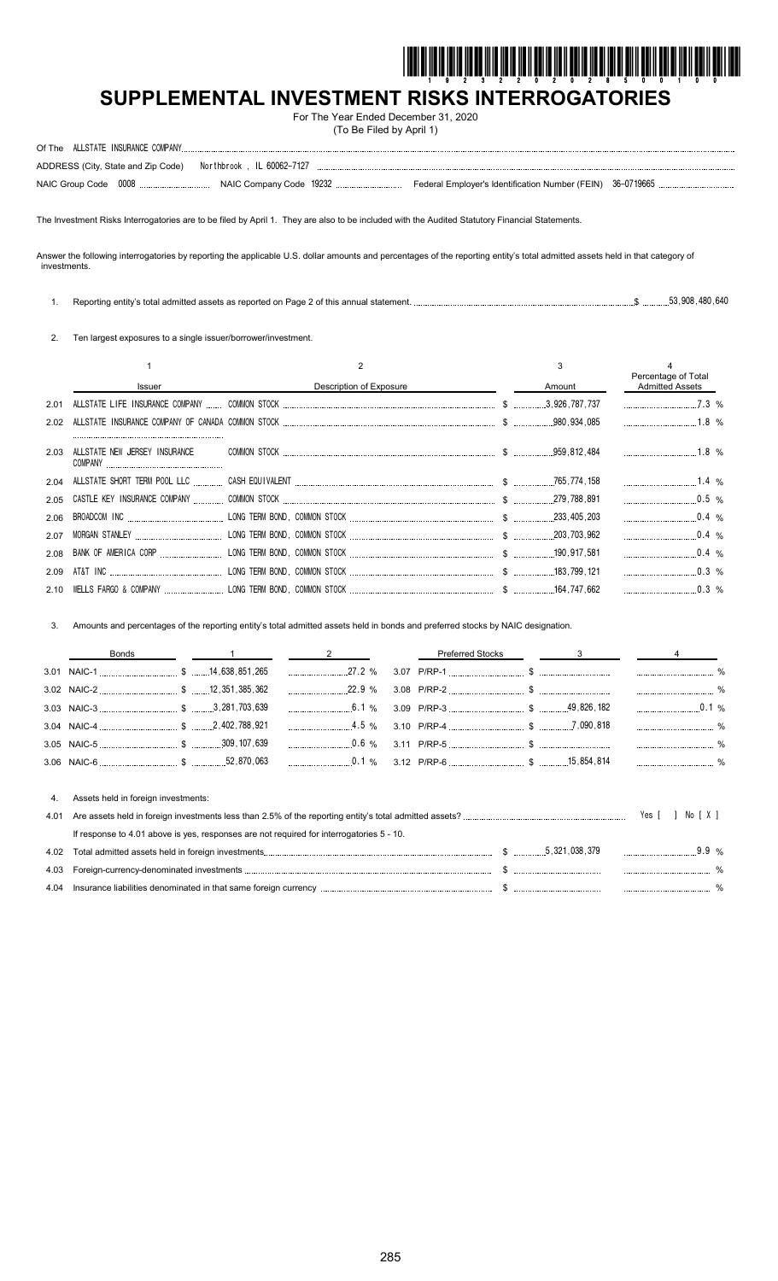

# **SUPPLEMENTAL INVESTMENT RISKS INTERROGATORIES**

For The Year Ended December 31, 2020 (To Be Filed by April 1)

| ADDRESS (City, State and Zip Code)    Northbrook, IL 60062-7127 |  |  |
|-----------------------------------------------------------------|--|--|
|                                                                 |  |  |

The Investment Risks Interrogatories are to be filed by April 1. They are also to be included with the Audited Statutory Financial Statements.

Answer the following interrogatories by reporting the applicable U.S. dollar amounts and percentages of the reporting entity's total admitted assets held in that category of investments.

|  |  |  | 53.908.480.640 |
|--|--|--|----------------|
|--|--|--|----------------|

2. Ten largest exposures to a single issuer/borrower/investment.

|      |                               |                         |        | Percentage of Total    |  |
|------|-------------------------------|-------------------------|--------|------------------------|--|
|      | <b>Issuer</b>                 | Description of Exposure | Amount | <b>Admitted Assets</b> |  |
| 2.01 |                               |                         |        | $7.3\%$                |  |
|      |                               |                         |        |                        |  |
| 2.03 | ALLSTATE NEW JERSEY INSURANCE |                         |        |                        |  |
|      |                               |                         |        |                        |  |
|      |                               |                         |        | $0.5\%$                |  |
|      |                               |                         |        | $0.4\%$                |  |
| 2.07 |                               |                         |        | $0.4\%$                |  |
|      |                               |                         |        | $0.4\%$                |  |
| 2.09 |                               |                         |        | $\ldots$ 0.3 %         |  |
|      |                               |                         |        |                        |  |

3. Amounts and percentages of the reporting entity's total admitted assets held in bonds and preferred stocks by NAIC designation.

|      | <b>Bonds</b>                                                                             |                | <b>Preferred Stocks</b> | 3 |        |         |   |
|------|------------------------------------------------------------------------------------------|----------------|-------------------------|---|--------|---------|---|
|      |                                                                                          |                |                         |   |        |         |   |
|      |                                                                                          | 22.9 %         |                         |   |        |         |   |
|      |                                                                                          |                |                         |   |        | 0.1%    |   |
|      |                                                                                          | $4.5\%$        |                         |   |        |         |   |
|      |                                                                                          | $\ldots$ 0.6 % |                         |   |        |         |   |
|      |                                                                                          |                |                         |   |        |         |   |
| 4.   | Assets held in foreign investments:                                                      |                |                         |   |        |         |   |
| 4.01 |                                                                                          |                |                         |   | Yes II | No [X]  |   |
|      | If response to 4.01 above is yes, responses are not required for interrogatories 5 - 10. |                |                         |   |        |         |   |
| 4.02 |                                                                                          |                |                         |   |        | $9.9\%$ |   |
| 4.03 |                                                                                          |                |                         |   |        |         |   |
| 4.04 |                                                                                          |                |                         |   |        |         | % |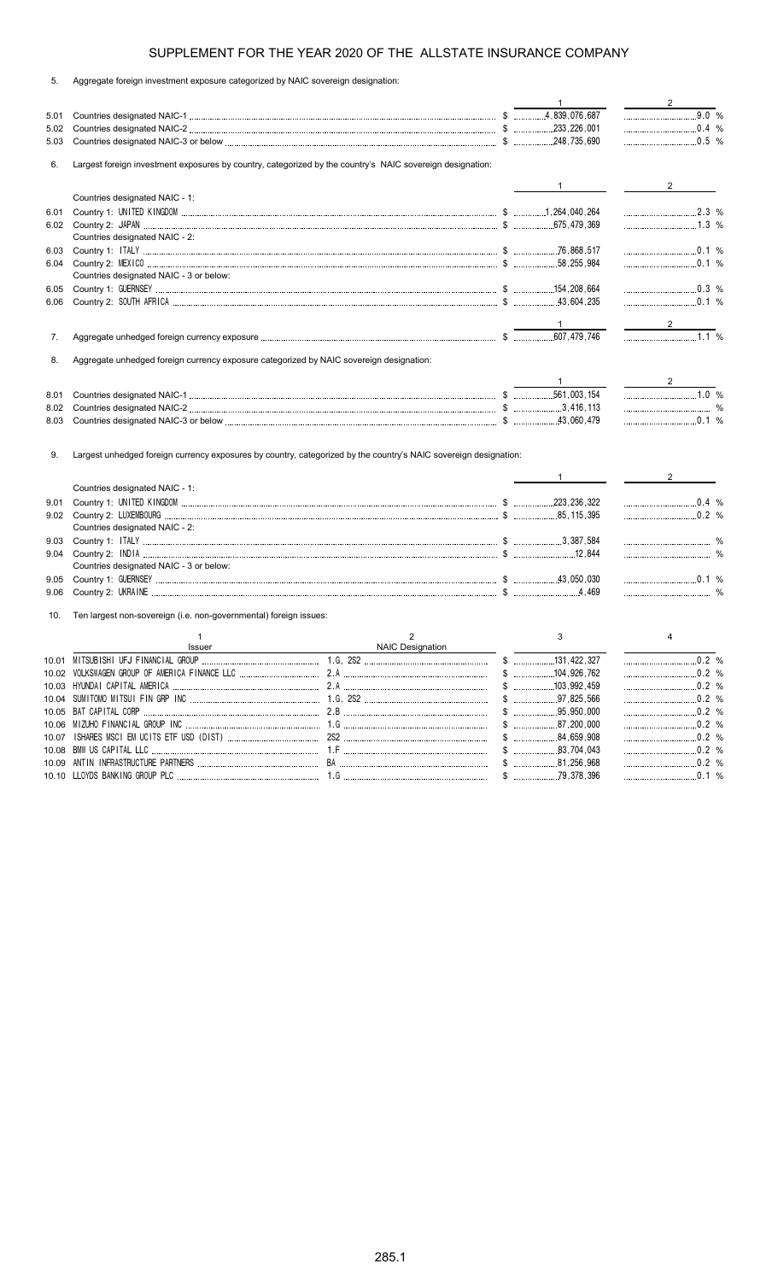| 5. |  |  | Aggregate foreign investment exposure categorized by NAIC sovereign designation: |  |  |
|----|--|--|----------------------------------------------------------------------------------|--|--|
|    |  |  |                                                                                  |  |  |

|      |                                                                                         |                                                                                                                  | $\mathbf{1}$                 | $\overline{2}$       |
|------|-----------------------------------------------------------------------------------------|------------------------------------------------------------------------------------------------------------------|------------------------------|----------------------|
| 5.01 |                                                                                         |                                                                                                                  |                              | $9.0 %$              |
| 5.02 |                                                                                         |                                                                                                                  |                              |                      |
| 5.03 |                                                                                         |                                                                                                                  |                              |                      |
| 6.   |                                                                                         | Largest foreign investment exposures by country, categorized by the country's NAIC sovereign designation:        |                              |                      |
|      |                                                                                         |                                                                                                                  |                              | $\overline{2}$       |
|      | Countries designated NAIC - 1:                                                          |                                                                                                                  |                              |                      |
| 6.01 |                                                                                         |                                                                                                                  |                              | $2.3\%$              |
|      |                                                                                         |                                                                                                                  |                              |                      |
|      | Countries designated NAIC - 2:                                                          |                                                                                                                  |                              |                      |
| 6.03 |                                                                                         |                                                                                                                  |                              | $\frac{1}{2}$ 0.1 %  |
| 6.04 |                                                                                         |                                                                                                                  |                              | $0.1 \%$             |
|      | Countries designated NAIC - 3 or below:                                                 |                                                                                                                  |                              |                      |
| 6.05 |                                                                                         |                                                                                                                  |                              | 0.3 %                |
| 6.06 |                                                                                         |                                                                                                                  |                              | $\ldots$ 0.1 %       |
|      |                                                                                         |                                                                                                                  |                              |                      |
|      |                                                                                         |                                                                                                                  |                              |                      |
| 7.   |                                                                                         |                                                                                                                  |                              | $\overline{1.1}$ %   |
| 8.   | Aggregate unhedged foreign currency exposure categorized by NAIC sovereign designation: |                                                                                                                  |                              |                      |
|      |                                                                                         |                                                                                                                  |                              |                      |
|      |                                                                                         |                                                                                                                  | $\sim$ 1                     | $\frac{2}{\sqrt{2}}$ |
| 8.01 |                                                                                         |                                                                                                                  |                              | 1.0 %                |
| 8.02 |                                                                                         |                                                                                                                  |                              |                      |
| 8.03 |                                                                                         |                                                                                                                  |                              | $\ldots$ 0.1 %       |
| 9.   |                                                                                         | Largest unhedged foreign currency exposures by country, categorized by the country's NAIC sovereign designation: |                              |                      |
|      |                                                                                         |                                                                                                                  |                              |                      |
|      | Countries designated NAIC - 1:                                                          |                                                                                                                  | $1 \underline{\hspace{1cm}}$ | $2 \equiv$           |
| 9.01 |                                                                                         |                                                                                                                  |                              |                      |
| 9.02 |                                                                                         |                                                                                                                  |                              | $\ldots$             |
|      | Countries designated NAIC - 2:                                                          |                                                                                                                  |                              |                      |
| 9.03 |                                                                                         |                                                                                                                  |                              |                      |
| 9.04 |                                                                                         |                                                                                                                  |                              |                      |
|      | Countries designated NAIC - 3 or below:                                                 |                                                                                                                  |                              |                      |
| 9.05 |                                                                                         |                                                                                                                  |                              |                      |
| 9.06 |                                                                                         |                                                                                                                  |                              |                      |
| 10.  | Ten largest non-sovereign (i.e. non-governmental) foreign issues:                       |                                                                                                                  |                              |                      |
|      | $\mathbf{1}$                                                                            | $\overline{2}$                                                                                                   | 3                            | 4                    |
|      | Issuer                                                                                  | NAIC Designation                                                                                                 |                              |                      |
|      |                                                                                         |                                                                                                                  |                              |                      |
|      |                                                                                         |                                                                                                                  |                              |                      |
|      |                                                                                         |                                                                                                                  |                              | 0.2 %                |
|      |                                                                                         |                                                                                                                  |                              |                      |
|      |                                                                                         |                                                                                                                  |                              |                      |
|      |                                                                                         |                                                                                                                  | \$3,000                      | $\ldots$ 0.2 %       |
|      |                                                                                         |                                                                                                                  |                              |                      |
|      |                                                                                         |                                                                                                                  |                              |                      |
|      |                                                                                         |                                                                                                                  | $$$ 81,256,968               | $\ldots$ 0.1 %       |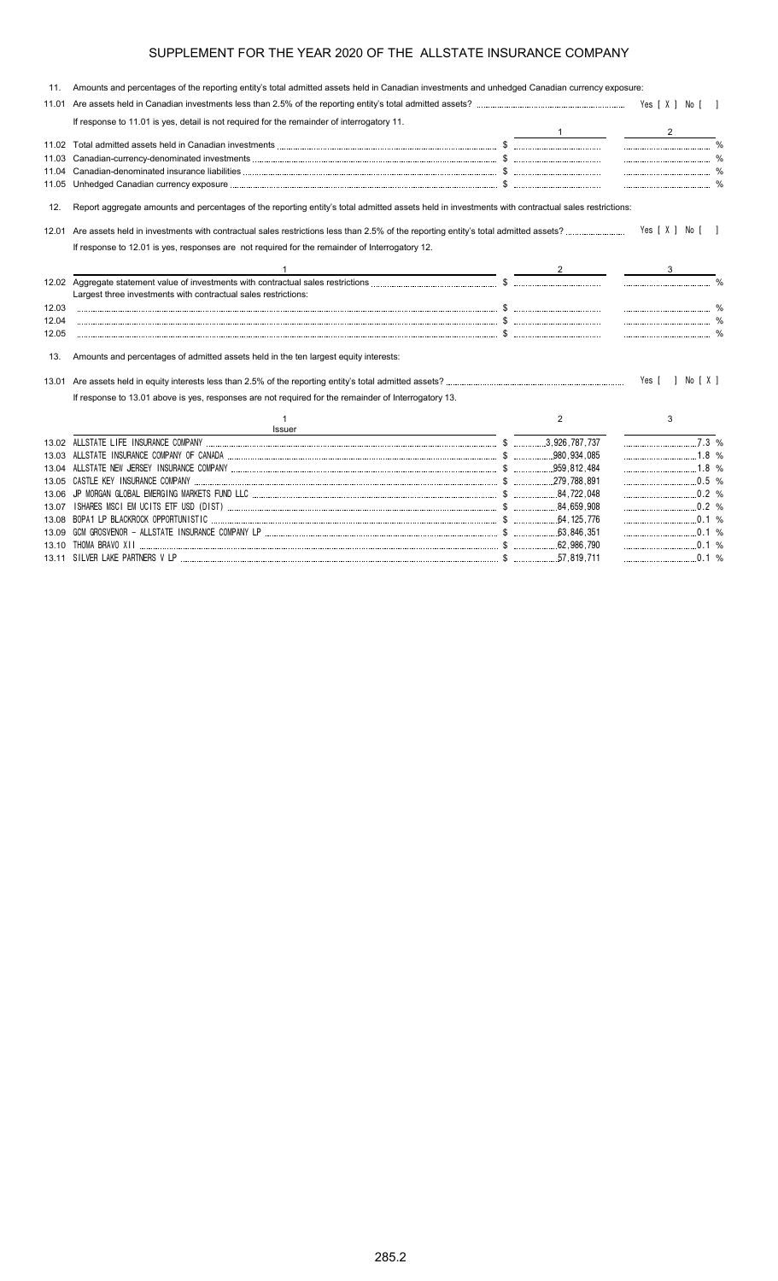| 11.   | Amounts and percentages of the reporting entity's total admitted assets held in Canadian investments and unhedged Canadian currency exposure:     |   |                  |  |
|-------|---------------------------------------------------------------------------------------------------------------------------------------------------|---|------------------|--|
| 11.01 |                                                                                                                                                   |   |                  |  |
|       | If response to 11.01 is yes, detail is not required for the remainder of interrogatory 11.                                                        |   |                  |  |
|       |                                                                                                                                                   |   |                  |  |
|       |                                                                                                                                                   |   |                  |  |
|       |                                                                                                                                                   |   |                  |  |
|       |                                                                                                                                                   |   |                  |  |
|       |                                                                                                                                                   |   |                  |  |
| 12.   | Report aggregate amounts and percentages of the reporting entity's total admitted assets held in investments with contractual sales restrictions: |   |                  |  |
|       |                                                                                                                                                   |   | Yes [ X ] No [ ] |  |
|       | If response to 12.01 is yes, responses are not required for the remainder of Interrogatory 12.                                                    |   |                  |  |
|       |                                                                                                                                                   |   |                  |  |
|       | Largest three investments with contractual sales restrictions:                                                                                    |   |                  |  |
| 12.03 |                                                                                                                                                   |   |                  |  |
| 12.04 |                                                                                                                                                   |   |                  |  |
| 12.05 |                                                                                                                                                   |   |                  |  |
| 13.   | Amounts and percentages of admitted assets held in the ten largest equity interests:                                                              |   |                  |  |
|       |                                                                                                                                                   |   | Yes [ ] No [ X ] |  |
|       | If response to 13.01 above is yes, responses are not required for the remainder of Interrogatory 13.                                              |   |                  |  |
|       | Issuer                                                                                                                                            | 2 | 3                |  |
|       |                                                                                                                                                   |   | $1.3\%$          |  |
|       |                                                                                                                                                   |   | $1.8\%$          |  |
|       |                                                                                                                                                   |   |                  |  |
|       |                                                                                                                                                   |   | 0.5 %            |  |
| 13.06 |                                                                                                                                                   |   | 0.2 %            |  |
| 13.07 |                                                                                                                                                   |   | $0.2\%$          |  |
|       |                                                                                                                                                   |   | $\ldots$ 0.1 %   |  |
|       |                                                                                                                                                   |   |                  |  |
|       |                                                                                                                                                   |   |                  |  |

13.11 SILVER LAKE PARTNERS V LP \$ 57,819,711 0.1 %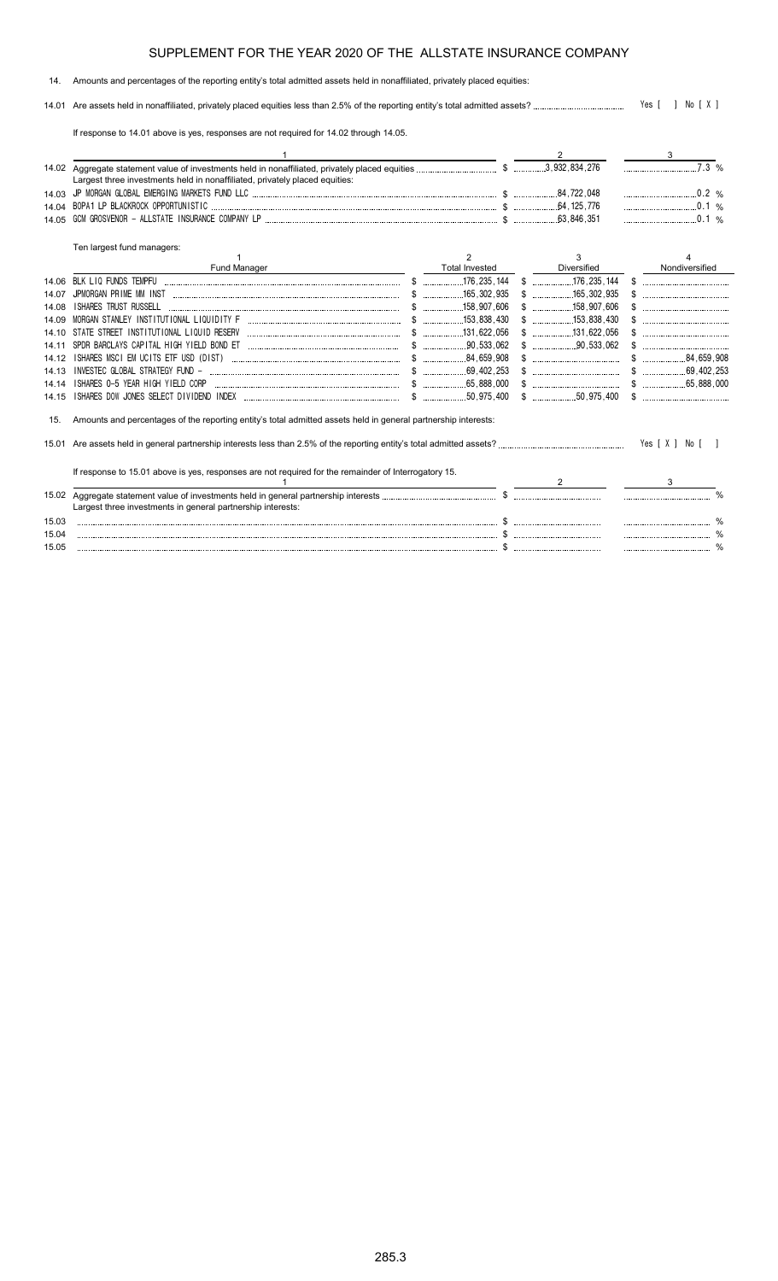#### 14. Amounts and percentages of the reporting entity's total admitted assets held in nonaffiliated, privately placed equities:

14.01 Are assets held in nonaffiliated, privately placed equities less than 2.5% of the reporting entity's total admitted assets? Yes [ ] No [ X ]

If response to 14.01 above is yes, responses are not required for 14.02 through 14.05.

|       |                                                                                                                |                       |                          | $7.3\%$        |                |  |
|-------|----------------------------------------------------------------------------------------------------------------|-----------------------|--------------------------|----------------|----------------|--|
|       | Largest three investments held in nonaffiliated, privately placed equities:                                    |                       |                          |                |                |  |
| 14.03 |                                                                                                                |                       |                          | $0.2\%$        |                |  |
| 14 04 |                                                                                                                |                       |                          | $\ldots$ 0.1 % |                |  |
| 14.05 |                                                                                                                |                       | .63,846,351              |                | 0.1 %          |  |
|       | Ten largest fund managers:                                                                                     |                       |                          |                |                |  |
|       |                                                                                                                | 2                     | 3                        |                |                |  |
|       | Fund Manager                                                                                                   | <b>Total Invested</b> | Diversified              |                | Nondiversified |  |
| 14.06 |                                                                                                                |                       |                          |                |                |  |
| 14 07 |                                                                                                                |                       |                          |                |                |  |
| 14 08 | <b>ISHARES TRUST RUSSELL</b>                                                                                   |                       |                          |                |                |  |
| 14 09 |                                                                                                                |                       |                          |                |                |  |
| 14 10 |                                                                                                                |                       |                          |                |                |  |
| 14 11 |                                                                                                                |                       | $\frac{1}{2}$ 90.533.062 |                |                |  |
| 14.12 |                                                                                                                |                       |                          |                |                |  |
| 14.13 |                                                                                                                |                       |                          |                |                |  |
| 14.14 | ISHARES 0-5 YEAR HIGH YIELD CORP                                                                               |                       |                          |                |                |  |
| 14.15 |                                                                                                                |                       |                          |                |                |  |
| 15.   | Amounts and percentages of the reporting entity's total admitted assets held in general partnership interests: |                       |                          |                |                |  |
|       |                                                                                                                |                       |                          |                |                |  |
|       | If response to 15.01 above is yes, responses are not required for the remainder of Interrogatory 15.           |                       |                          |                |                |  |
|       |                                                                                                                |                       | 2                        | 3              |                |  |
| 15.02 | Largest three investments in general partnership interests:                                                    |                       |                          |                |                |  |
| 15.03 |                                                                                                                |                       |                          |                |                |  |
| 15.04 |                                                                                                                |                       |                          |                |                |  |
| 15.05 |                                                                                                                |                       |                          |                |                |  |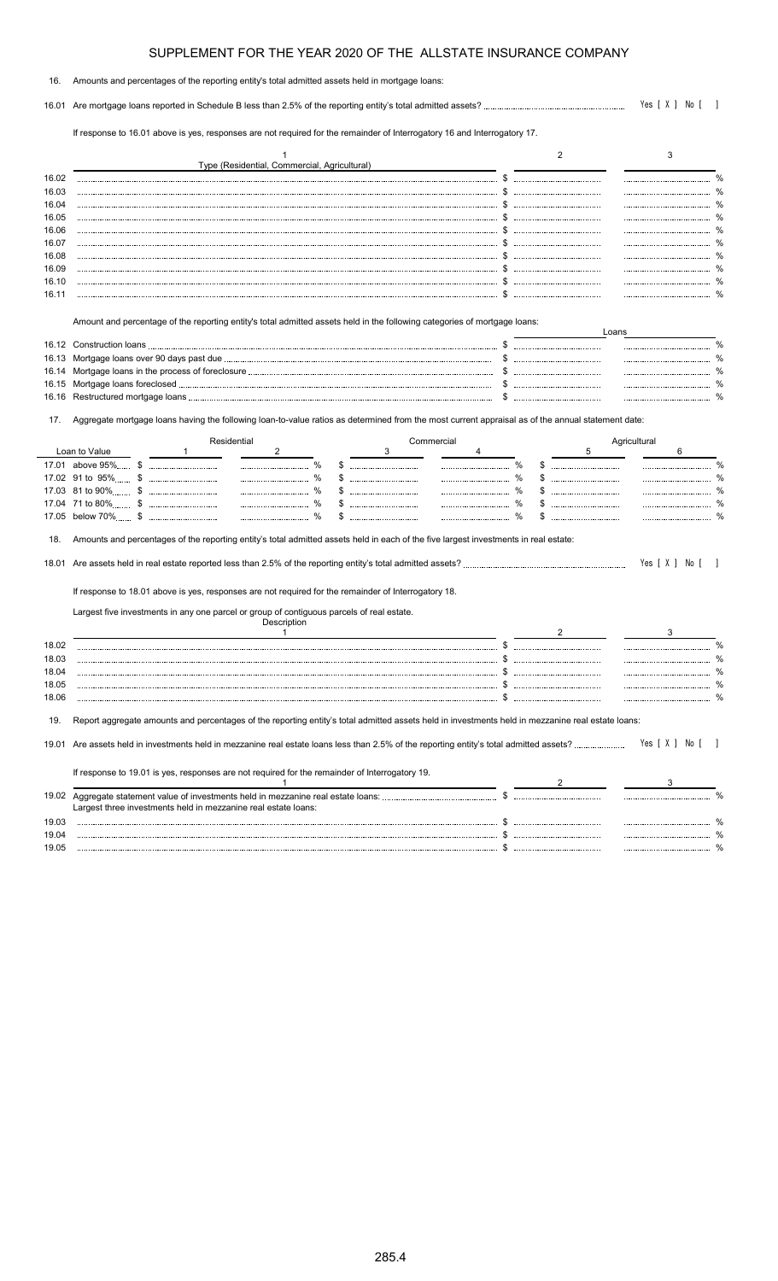| 16. Amounts and percentages of the reporting entity's total admitted assets held in mortgage loans: |  |
|-----------------------------------------------------------------------------------------------------|--|
|                                                                                                     |  |

16.01 Are mortgage loans reported in Schedule B less than 2.5% of the reporting entity's total admitted assets? Yes [ X ] No [ ]

If response to 16.01 above is yes, responses are not required for the remainder of Interrogatory 16 and Interrogatory 17.

|                                                                  |              | Type (Residential, Commercial, Agricultural)                                                                                                                          |                 |   |               | 2  |       |              | 3                   |
|------------------------------------------------------------------|--------------|-----------------------------------------------------------------------------------------------------------------------------------------------------------------------|-----------------|---|---------------|----|-------|--------------|---------------------|
| 16.02                                                            |              |                                                                                                                                                                       |                 |   |               |    |       |              |                     |
| 16.03                                                            |              |                                                                                                                                                                       |                 |   |               |    |       |              |                     |
| 16.04                                                            |              |                                                                                                                                                                       |                 |   |               |    |       |              |                     |
| 16.05                                                            |              |                                                                                                                                                                       |                 |   |               |    |       |              |                     |
| 16.06                                                            |              |                                                                                                                                                                       |                 |   |               |    |       |              |                     |
| 16.07                                                            |              |                                                                                                                                                                       |                 |   |               |    |       |              |                     |
| 16.08                                                            |              |                                                                                                                                                                       |                 |   |               |    |       |              |                     |
| 16.09                                                            |              |                                                                                                                                                                       |                 |   |               |    |       |              |                     |
| 16.10                                                            |              |                                                                                                                                                                       |                 |   |               |    |       |              |                     |
| 16.11                                                            |              |                                                                                                                                                                       |                 |   |               |    |       |              |                     |
|                                                                  |              | Amount and percentage of the reporting entity's total admitted assets held in the following categories of mortgage loans:                                             |                 |   |               |    | Loans |              |                     |
|                                                                  |              |                                                                                                                                                                       |                 |   |               |    |       |              |                     |
|                                                                  |              |                                                                                                                                                                       |                 |   | \$            |    |       |              |                     |
|                                                                  |              |                                                                                                                                                                       |                 |   | \$            |    |       |              |                     |
|                                                                  |              |                                                                                                                                                                       |                 |   |               |    |       |              |                     |
|                                                                  |              |                                                                                                                                                                       |                 |   |               |    |       |              |                     |
| 17.<br>Loan to Value                                             | $\mathbf{1}$ | Aggregate mortgage loans having the following loan-to-value ratios as determined from the most current appraisal as of the annual statement date:<br>Residential<br>2 | Commercial<br>3 | 4 |               |    | 5     | Agricultural | 6                   |
|                                                                  |              | $\frac{0}{0}$                                                                                                                                                         |                 |   | %             |    |       |              |                     |
|                                                                  |              | $\%$                                                                                                                                                                  |                 |   | $\frac{0}{0}$ | \$ |       |              |                     |
|                                                                  |              | $\%$                                                                                                                                                                  |                 |   | %             |    |       |              |                     |
|                                                                  |              |                                                                                                                                                                       | \$              |   | $\%$          |    |       |              |                     |
|                                                                  |              |                                                                                                                                                                       |                 |   |               |    |       |              | $\frac{1}{2}$       |
|                                                                  |              |                                                                                                                                                                       |                 |   |               |    |       |              |                     |
|                                                                  |              | Amounts and percentages of the reporting entity's total admitted assets held in each of the five largest investments in real estate:                                  |                 |   |               |    |       |              |                     |
|                                                                  |              |                                                                                                                                                                       |                 |   |               |    |       |              |                     |
|                                                                  |              | If response to 18.01 above is yes, responses are not required for the remainder of Interrogatory 18.                                                                  |                 |   |               |    |       |              |                     |
|                                                                  |              | Largest five investments in any one parcel or group of contiguous parcels of real estate.<br>Description                                                              |                 |   |               |    |       |              |                     |
|                                                                  |              | $\mathbf{1}$                                                                                                                                                          |                 |   |               | 2  |       |              | Yes [ X ] No [<br>3 |
|                                                                  |              |                                                                                                                                                                       |                 |   |               |    |       |              |                     |
|                                                                  |              |                                                                                                                                                                       |                 |   |               |    |       |              |                     |
|                                                                  |              |                                                                                                                                                                       |                 |   |               |    |       |              |                     |
|                                                                  |              |                                                                                                                                                                       |                 |   | \$            |    |       |              |                     |
|                                                                  |              |                                                                                                                                                                       |                 |   |               |    |       |              |                     |
|                                                                  |              | Report aggregate amounts and percentages of the reporting entity's total admitted assets held in investments held in mezzanine real estate loans:                     |                 |   |               |    |       |              |                     |
| 18.<br>18.01<br>18.02<br>18.03<br>18.04<br>18.05<br>18.06<br>19. |              |                                                                                                                                                                       |                 |   |               |    |       |              | Yes [ X ] No [      |

| 19.02 | Aggregate statement value of investments held in mezzanine real estate loans:<br>Largest three investments held in mezzanine real estate loans: |  |  |
|-------|-------------------------------------------------------------------------------------------------------------------------------------------------|--|--|
| 19.03 |                                                                                                                                                 |  |  |
| 19.04 |                                                                                                                                                 |  |  |
| 19.05 |                                                                                                                                                 |  |  |